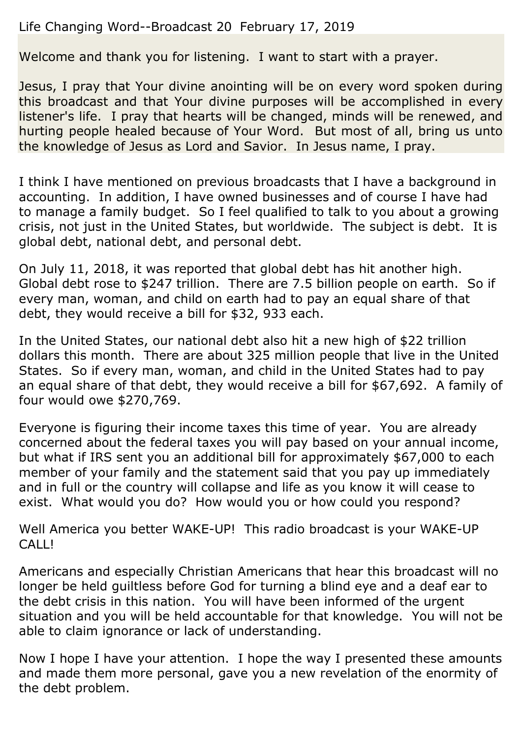## Life Changing Word--Broadcast 20 February 17, 2019

Welcome and thank you for listening. I want to start with a prayer.

Jesus, I pray that Your divine anointing will be on every word spoken during this broadcast and that Your divine purposes will be accomplished in every listener's life. I pray that hearts will be changed, minds will be renewed, and hurting people healed because of Your Word. But most of all, bring us unto the knowledge of Jesus as Lord and Savior. In Jesus name, I pray.

I think I have mentioned on previous broadcasts that I have a background in accounting. In addition, I have owned businesses and of course I have had to manage a family budget. So I feel qualified to talk to you about a growing crisis, not just in the United States, but worldwide. The subject is debt. It is global debt, national debt, and personal debt.

On July 11, 2018, it was reported that global debt has hit another high. Global debt rose to \$247 trillion. There are 7.5 billion people on earth. So if every man, woman, and child on earth had to pay an equal share of that debt, they would receive a bill for \$32, 933 each.

In the United States, our national debt also hit a new high of \$22 trillion dollars this month. There are about 325 million people that live in the United States. So if every man, woman, and child in the United States had to pay an equal share of that debt, they would receive a bill for \$67,692. A family of four would owe \$270,769.

Everyone is figuring their income taxes this time of year. You are already concerned about the federal taxes you will pay based on your annual income, but what if IRS sent you an additional bill for approximately \$67,000 to each member of your family and the statement said that you pay up immediately and in full or the country will collapse and life as you know it will cease to exist. What would you do? How would you or how could you respond?

Well America you better WAKE-UP! This radio broadcast is your WAKE-UP CALL!

Americans and especially Christian Americans that hear this broadcast will no longer be held guiltless before God for turning a blind eye and a deaf ear to the debt crisis in this nation. You will have been informed of the urgent situation and you will be held accountable for that knowledge. You will not be able to claim ignorance or lack of understanding.

Now I hope I have your attention. I hope the way I presented these amounts and made them more personal, gave you a new revelation of the enormity of the debt problem.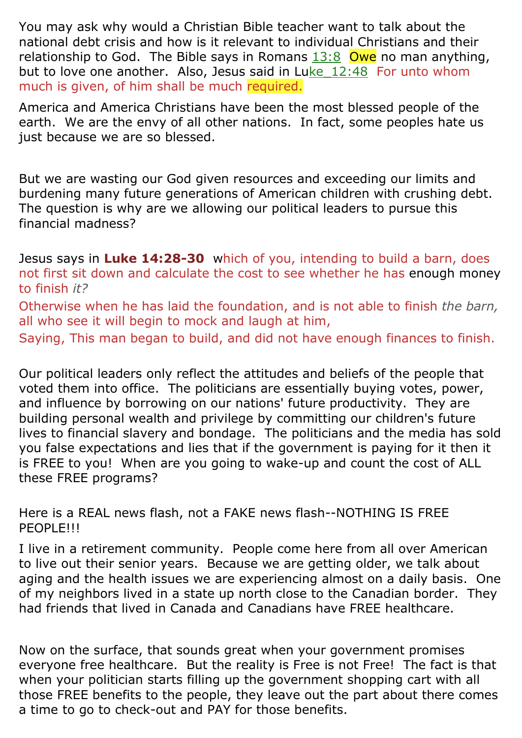You may ask why would a Christian Bible teacher want to talk about the national debt crisis and how is it relevant to individual Christians and their relationship to God. The Bible says in Romans  $13:8$  Owe no man anything, but to love one another. Also, Jesus said in Luke\_12:48 For unto whom much is given, of him shall be much required.

America and America Christians have been the most blessed people of the earth. We are the envy of all other nations. In fact, some peoples hate us just because we are so blessed.

But we are wasting our God given resources and exceeding our limits and burdening many future generations of American children with crushing debt. The question is why are we allowing our political leaders to pursue this financial madness?

Jesus says in **Luke 14:28-30** which of you, intending to build a barn, does not first sit down and calculate the cost to see whether he has enough money to finish *it?*

Otherwise when he has laid the foundation, and is not able to finish *the barn,* all who see it will begin to mock and laugh at him,

Saying, This man began to build, and did not have enough finances to finish.

Our political leaders only reflect the attitudes and beliefs of the people that voted them into office. The politicians are essentially buying votes, power, and influence by borrowing on our nations' future productivity. They are building personal wealth and privilege by committing our children's future lives to financial slavery and bondage. The politicians and the media has sold you false expectations and lies that if the government is paying for it then it is FREE to you! When are you going to wake-up and count the cost of ALL these FREE programs?

Here is a REAL news flash, not a FAKE news flash--NOTHING IS FREE PEOPLE!!!

I live in a retirement community. People come here from all over American to live out their senior years. Because we are getting older, we talk about aging and the health issues we are experiencing almost on a daily basis. One of my neighbors lived in a state up north close to the Canadian border. They had friends that lived in Canada and Canadians have FREE healthcare.

Now on the surface, that sounds great when your government promises everyone free healthcare. But the reality is Free is not Free! The fact is that when your politician starts filling up the government shopping cart with all those FREE benefits to the people, they leave out the part about there comes a time to go to check-out and PAY for those benefits.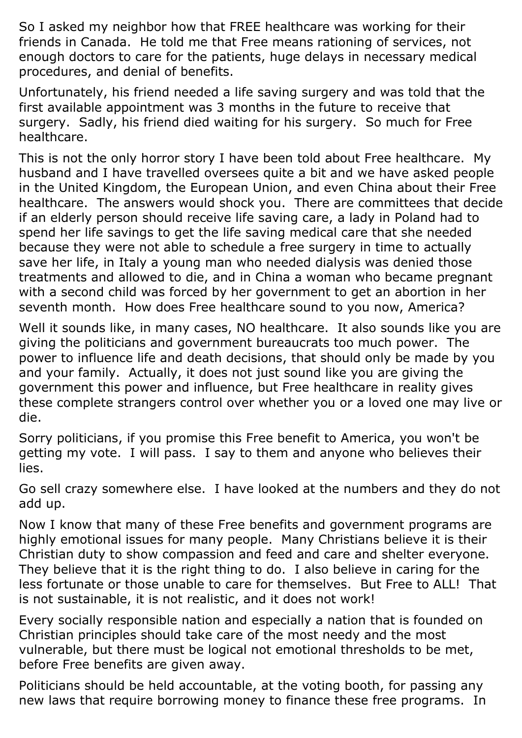So I asked my neighbor how that FREE healthcare was working for their friends in Canada. He told me that Free means rationing of services, not enough doctors to care for the patients, huge delays in necessary medical procedures, and denial of benefits.

Unfortunately, his friend needed a life saving surgery and was told that the first available appointment was 3 months in the future to receive that surgery. Sadly, his friend died waiting for his surgery. So much for Free healthcare.

This is not the only horror story I have been told about Free healthcare. My husband and I have travelled oversees quite a bit and we have asked people in the United Kingdom, the European Union, and even China about their Free healthcare. The answers would shock you. There are committees that decide if an elderly person should receive life saving care, a lady in Poland had to spend her life savings to get the life saving medical care that she needed because they were not able to schedule a free surgery in time to actually save her life, in Italy a young man who needed dialysis was denied those treatments and allowed to die, and in China a woman who became pregnant with a second child was forced by her government to get an abortion in her seventh month. How does Free healthcare sound to you now, America?

Well it sounds like, in many cases, NO healthcare. It also sounds like you are giving the politicians and government bureaucrats too much power. The power to influence life and death decisions, that should only be made by you and your family. Actually, it does not just sound like you are giving the government this power and influence, but Free healthcare in reality gives these complete strangers control over whether you or a loved one may live or die.

Sorry politicians, if you promise this Free benefit to America, you won't be getting my vote. I will pass. I say to them and anyone who believes their lies.

Go sell crazy somewhere else. I have looked at the numbers and they do not add up.

Now I know that many of these Free benefits and government programs are highly emotional issues for many people. Many Christians believe it is their Christian duty to show compassion and feed and care and shelter everyone. They believe that it is the right thing to do. I also believe in caring for the less fortunate or those unable to care for themselves. But Free to ALL! That is not sustainable, it is not realistic, and it does not work!

Every socially responsible nation and especially a nation that is founded on Christian principles should take care of the most needy and the most vulnerable, but there must be logical not emotional thresholds to be met, before Free benefits are given away.

Politicians should be held accountable, at the voting booth, for passing any new laws that require borrowing money to finance these free programs. In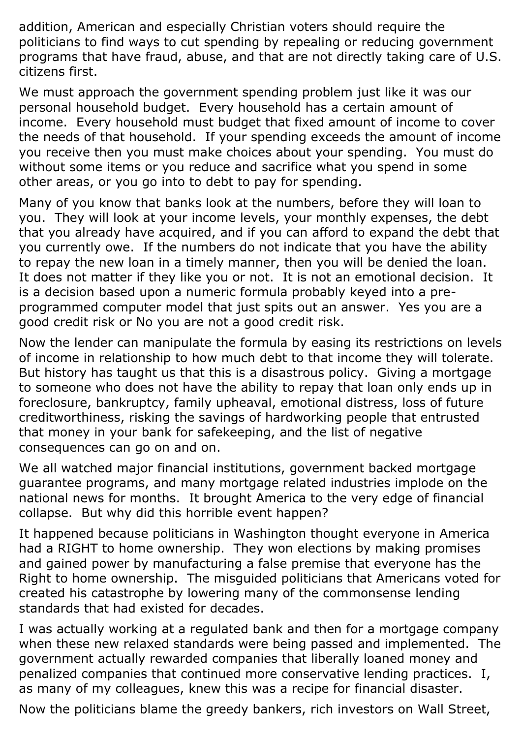addition, American and especially Christian voters should require the politicians to find ways to cut spending by repealing or reducing government programs that have fraud, abuse, and that are not directly taking care of U.S. citizens first.

We must approach the government spending problem just like it was our personal household budget. Every household has a certain amount of income. Every household must budget that fixed amount of income to cover the needs of that household. If your spending exceeds the amount of income you receive then you must make choices about your spending. You must do without some items or you reduce and sacrifice what you spend in some other areas, or you go into to debt to pay for spending.

Many of you know that banks look at the numbers, before they will loan to you. They will look at your income levels, your monthly expenses, the debt that you already have acquired, and if you can afford to expand the debt that you currently owe. If the numbers do not indicate that you have the ability to repay the new loan in a timely manner, then you will be denied the loan. It does not matter if they like you or not. It is not an emotional decision. It is a decision based upon a numeric formula probably keyed into a preprogrammed computer model that just spits out an answer. Yes you are a good credit risk or No you are not a good credit risk.

Now the lender can manipulate the formula by easing its restrictions on levels of income in relationship to how much debt to that income they will tolerate. But history has taught us that this is a disastrous policy. Giving a mortgage to someone who does not have the ability to repay that loan only ends up in foreclosure, bankruptcy, family upheaval, emotional distress, loss of future creditworthiness, risking the savings of hardworking people that entrusted that money in your bank for safekeeping, and the list of negative consequences can go on and on.

We all watched major financial institutions, government backed mortgage guarantee programs, and many mortgage related industries implode on the national news for months. It brought America to the very edge of financial collapse. But why did this horrible event happen?

It happened because politicians in Washington thought everyone in America had a RIGHT to home ownership. They won elections by making promises and gained power by manufacturing a false premise that everyone has the Right to home ownership. The misguided politicians that Americans voted for created his catastrophe by lowering many of the commonsense lending standards that had existed for decades.

I was actually working at a regulated bank and then for a mortgage company when these new relaxed standards were being passed and implemented. The government actually rewarded companies that liberally loaned money and penalized companies that continued more conservative lending practices. I, as many of my colleagues, knew this was a recipe for financial disaster.

Now the politicians blame the greedy bankers, rich investors on Wall Street,